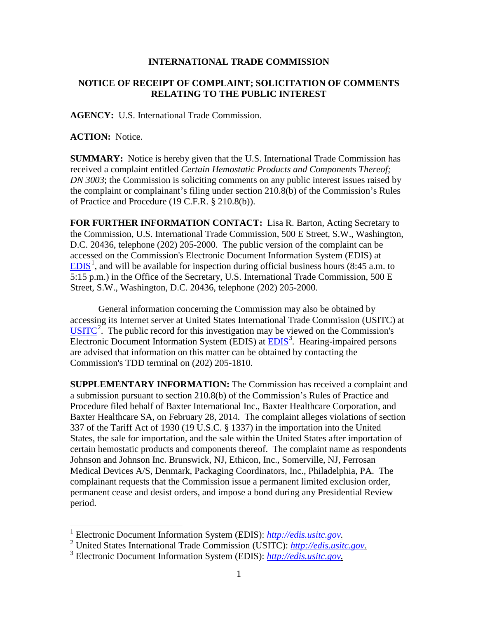## **INTERNATIONAL TRADE COMMISSION**

## **NOTICE OF RECEIPT OF COMPLAINT; SOLICITATION OF COMMENTS RELATING TO THE PUBLIC INTEREST**

**AGENCY:** U.S. International Trade Commission.

**ACTION:** Notice.

**SUMMARY:** Notice is hereby given that the U.S. International Trade Commission has received a complaint entitled *Certain Hemostatic Products and Components Thereof; DN 3003*; the Commission is soliciting comments on any public interest issues raised by the complaint or complainant's filing under section 210.8(b) of the Commission's Rules of Practice and Procedure (19 C.F.R. § 210.8(b)).

**FOR FURTHER INFORMATION CONTACT:** Lisa R. Barton, Acting Secretary to the Commission, U.S. International Trade Commission, 500 E Street, S.W., Washington, D.C. 20436, telephone (202) 205-2000. The public version of the complaint can be accessed on the Commission's Electronic Document Information System (EDIS) at  $EDIS<sup>1</sup>$  $EDIS<sup>1</sup>$  $EDIS<sup>1</sup>$  $EDIS<sup>1</sup>$ , and will be available for inspection during official business hours (8:45 a.m. to 5:15 p.m.) in the Office of the Secretary, U.S. International Trade Commission, 500 E Street, S.W., Washington, D.C. 20436, telephone (202) 205-2000.

General information concerning the Commission may also be obtained by accessing its Internet server at United States International Trade Commission (USITC) at  $\overline{USTTC}^2$  $\overline{USTTC}^2$ . The public record for this investigation may be viewed on the Commission's Electronic Document Information System (EDIS) at **EDIS**<sup>[3](#page-0-2)</sup>. Hearing-impaired persons are advised that information on this matter can be obtained by contacting the Commission's TDD terminal on (202) 205-1810.

**SUPPLEMENTARY INFORMATION:** The Commission has received a complaint and a submission pursuant to section 210.8(b) of the Commission's Rules of Practice and Procedure filed behalf of Baxter International Inc., Baxter Healthcare Corporation, and Baxter Healthcare SA, on February 28, 2014. The complaint alleges violations of section 337 of the Tariff Act of 1930 (19 U.S.C. § 1337) in the importation into the United States, the sale for importation, and the sale within the United States after importation of certain hemostatic products and components thereof. The complaint name as respondents Johnson and Johnson Inc. Brunswick, NJ, Ethicon, Inc., Somerville, NJ, Ferrosan Medical Devices A/S, Denmark, Packaging Coordinators, Inc., Philadelphia, PA. The complainant requests that the Commission issue a permanent limited exclusion order, permanent cease and desist orders, and impose a bond during any Presidential Review period.

<sup>&</sup>lt;sup>1</sup> Electronic Document Information System (EDIS):  $http://edis.usitc.gov$ .

<span id="page-0-1"></span><span id="page-0-0"></span><sup>&</sup>lt;sup>2</sup> United States International Trade Commission (USITC): <u>[http://edis.usitc.gov.](http://edis.usitc.gov/)</u><br><sup>3</sup> Electronic Document Information System (EDIS): http://edis.usitc.gov.

<span id="page-0-2"></span>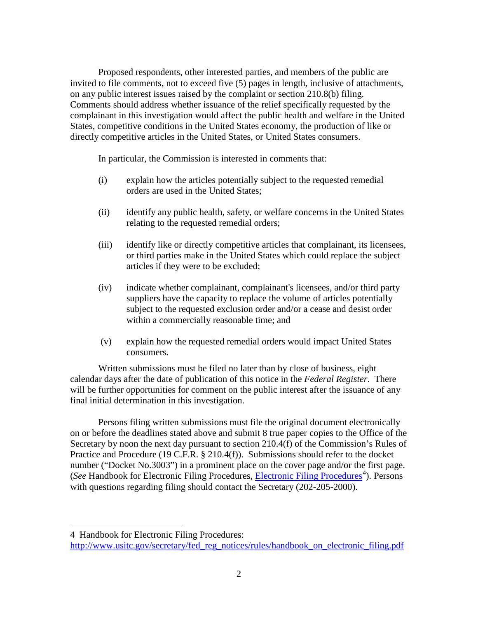Proposed respondents, other interested parties, and members of the public are invited to file comments, not to exceed five (5) pages in length, inclusive of attachments, on any public interest issues raised by the complaint or section 210.8(b) filing. Comments should address whether issuance of the relief specifically requested by the complainant in this investigation would affect the public health and welfare in the United States, competitive conditions in the United States economy, the production of like or directly competitive articles in the United States, or United States consumers.

In particular, the Commission is interested in comments that:

- (i) explain how the articles potentially subject to the requested remedial orders are used in the United States;
- (ii) identify any public health, safety, or welfare concerns in the United States relating to the requested remedial orders;
- (iii) identify like or directly competitive articles that complainant, its licensees, or third parties make in the United States which could replace the subject articles if they were to be excluded;
- (iv) indicate whether complainant, complainant's licensees, and/or third party suppliers have the capacity to replace the volume of articles potentially subject to the requested exclusion order and/or a cease and desist order within a commercially reasonable time; and
- (v) explain how the requested remedial orders would impact United States consumers.

Written submissions must be filed no later than by close of business, eight calendar days after the date of publication of this notice in the *Federal Register*. There will be further opportunities for comment on the public interest after the issuance of any final initial determination in this investigation.

Persons filing written submissions must file the original document electronically on or before the deadlines stated above and submit 8 true paper copies to the Office of the Secretary by noon the next day pursuant to section 210.4(f) of the Commission's Rules of Practice and Procedure (19 C.F.R. § 210.4(f)). Submissions should refer to the docket number ("Docket No.3003") in a prominent place on the cover page and/or the first page. (See Handbook for [Electronic Filing Procedures](http://www.usitc.gov/secretary/fed_reg_notices/rules/handbook_on_electronic_filing.pdf), *Electronic Filing Procedures*<sup>[4](#page-1-0)</sup>). Persons with questions regarding filing should contact the Secretary (202-205-2000).

 $\overline{a}$ 

<span id="page-1-0"></span><sup>4</sup> Handbook for Electronic Filing Procedures:

[http://www.usitc.gov/secretary/fed\\_reg\\_notices/rules/handbook\\_on\\_electronic\\_filing.pdf](http://www.usitc.gov/secretary/fed_reg_notices/rules/handbook_on_electronic_filing.pdf)